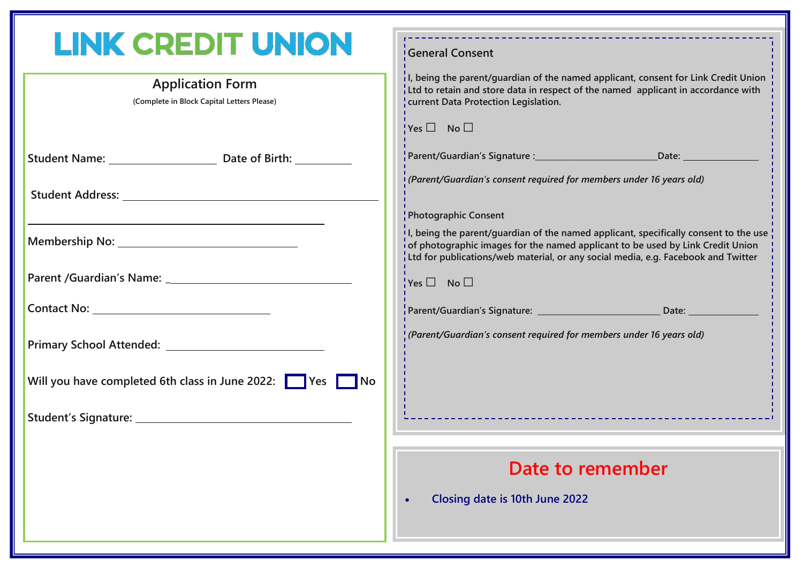| <b>LINK CREDIT UNION</b>                                                                                        | General Consent                                                                                                                                                                                                                                               |
|-----------------------------------------------------------------------------------------------------------------|---------------------------------------------------------------------------------------------------------------------------------------------------------------------------------------------------------------------------------------------------------------|
| <b>Application Form</b><br>(Complete in Block Capital Letters Please)                                           | I, being the parent/guardian of the named applicant, consent for Link Credit Union<br>Ltd to retain and store data in respect of the named applicant in accordance with<br>current Data Protection Legislation.                                               |
|                                                                                                                 | $'$ Yes $\Box$ No $\Box$<br>Parent/Guardian's consent required for members under 16 years old)                                                                                                                                                                |
| Student Address: National Address and Address and Address and Address and Address and Address and Address and A | Photographic Consent                                                                                                                                                                                                                                          |
|                                                                                                                 | ! I, being the parent/guardian of the named applicant, specifically consent to the use<br>of photographic images for the named applicant to be used by Link Credit Union<br>Ltd for publications/web material, or any social media, e.g. Facebook and Twitter |
|                                                                                                                 | $\frac{1}{2}$ Yes $\Box$ No $\Box$                                                                                                                                                                                                                            |
|                                                                                                                 |                                                                                                                                                                                                                                                               |
|                                                                                                                 | (Parent/Guardian's consent required for members under 16 years old)                                                                                                                                                                                           |
| Will you have completed 6th class in June 2022: $\Box$ Yes $\Box$ No                                            |                                                                                                                                                                                                                                                               |
| Student's Signature: Management of Student's Signature:                                                         |                                                                                                                                                                                                                                                               |
|                                                                                                                 | Date to remember<br>Closing date is 10th June 2022                                                                                                                                                                                                            |
|                                                                                                                 |                                                                                                                                                                                                                                                               |